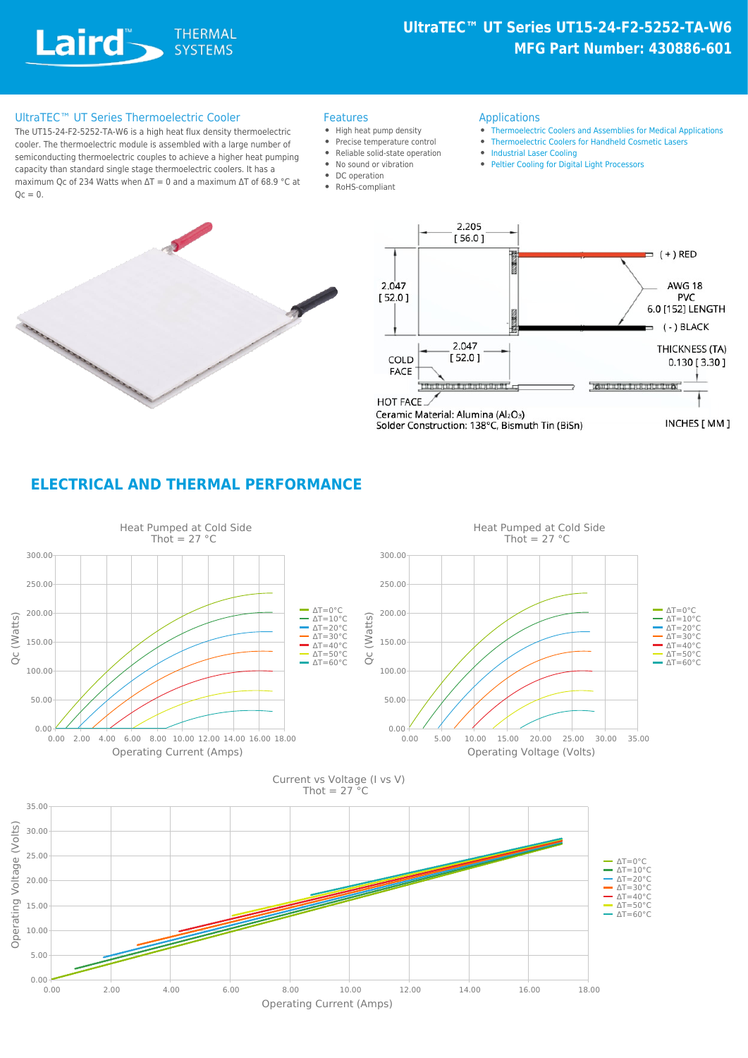Laird **SYSTEMAL** 

# **UltraTEC™ UT Series UT15-24-F2-5252-TA-W6 MFG Part Number: 430886-601**

#### UltraTEC™ UT Series Thermoelectric Cooler Features

The UT15-24-F2-5252-TA-W6 is a high heat flux density thermoelectric cooler. The thermoelectric module is assembled with a large number of semiconducting thermoelectric couples to achieve a higher heat pumping capacity than standard single stage thermoelectric coolers. It has a maximum Qc of 234 Watts when  $\Delta T = 0$  and a maximum  $\Delta T$  of 68.9 °C at  $Qc = 0.$ 

- 
- High heat pump density
- Precise temperature control
- Reliable solid-state operation
- No sound or vibration
- DC operation
- RoHS-compliant
- Applications
- [Thermoelectric Coolers and Assemblies for Medical Applications](https://www.lairdthermal.com/resources/application-notes/thermoelectric-modules-and-assemblies-medical-applications)
- [Thermoelectric Coolers for Handheld Cosmetic Lasers](https://www.lairdthermal.com/resources/application-notes/thermoelectric-coolers-for-handheld-cosmetic-lasers)
- [Industrial Laser Cooling](https://www.lairdthermal.com/applications/industrial-laser-cooling)
- [Peltier Cooling for Digital Light Processors](https://www.lairdthermal.com/resources/application-notes/Peltier-Cooling-for-Digital-Light-Processors)





### **ELECTRICAL AND THERMAL PERFORMANCE**

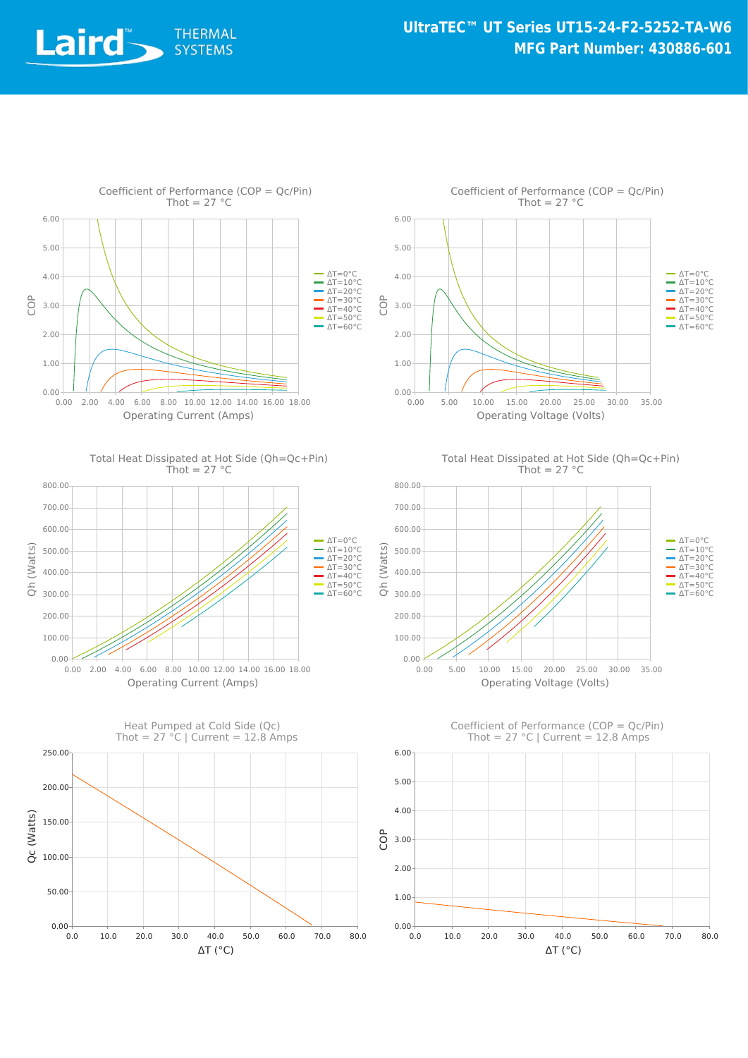